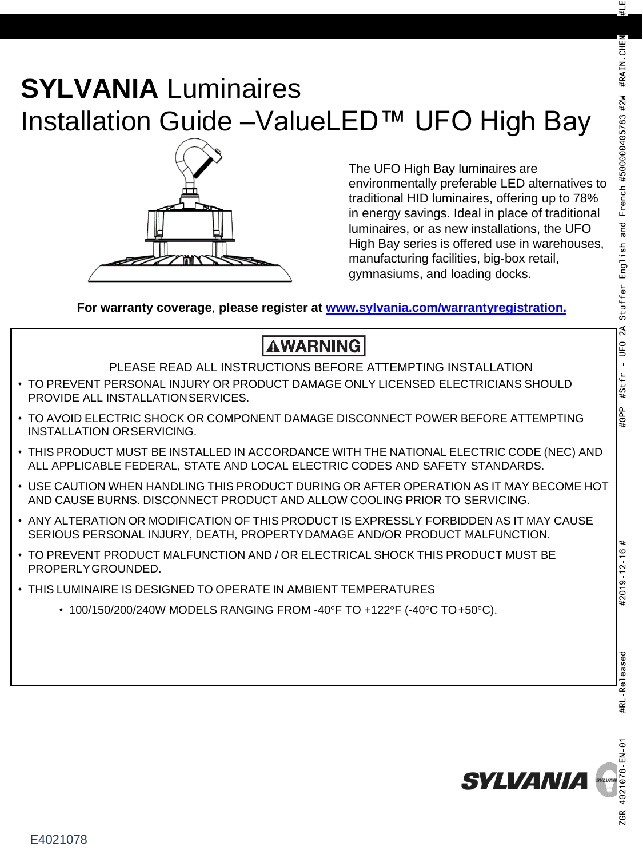# **SYLVANIA** Luminaires Installation Guide –ValueLED™ UFO High Bay



The UFO High Bay luminaires are environmentally preferable LED alternatives to traditional HID luminaires, offering up to 78% in energy savings. Ideal in place of traditional luminaires, or as new installations, the UFO High Bay series is offered use in warehouses, manufacturing facilities, big-box retail, gymnasiums, and loading docks.

**For warranty coverage**, **please register at [www.sylvania.com/warrantyregistration.](http://www.sylvania.com/warrantyregistration.)**

## **AWARNING**

PLEASE READ ALL INSTRUCTIONS BEFORE ATTEMPTING INSTALLATION

- TO PREVENT PERSONAL INJURY OR PRODUCT DAMAGE ONLY LICENSED ELECTRICIANS SHOULD PROVIDE ALL INSTALLATIONSERVICES.
- TO AVOID ELECTRIC SHOCK OR COMPONENT DAMAGE DISCONNECT POWER BEFORE ATTEMPTING INSTALLATION ORSERVICING.
- THIS PRODUCT MUST BE INSTALLED IN ACCORDANCE WITH THE NATIONAL ELECTRIC CODE (NEC) AND ALL APPLICABLE FEDERAL, STATE AND LOCAL ELECTRIC CODES AND SAFETY STANDARDS.
- USE CAUTION WHEN HANDLING THIS PRODUCT DURING OR AFTER OPERATION AS IT MAY BECOME HOT AND CAUSE BURNS. DISCONNECT PRODUCT AND ALLOW COOLING PRIOR TO SERVICING.
- ANY ALTERATION OR MODIFICATION OF THIS PRODUCT IS EXPRESSLY FORBIDDEN AS IT MAY CAUSE SERIOUS PERSONAL INJURY, DEATH, PROPERTYDAMAGE AND/OR PRODUCT MALFUNCTION.
- TO PREVENT PRODUCT MALFUNCTION AND / OR ELECTRICAL SHOCK THIS PRODUCT MUST BE PROPERLYGROUNDED.
- THIS LUMINAIRE IS DESIGNED TO OPERATE IN AMBIENT TEMPERATURES
	- 100/150/200/240W MODELS RANGING FROM -40°F TO +122°F (-40°C TO +50°C).

#2019 12 16



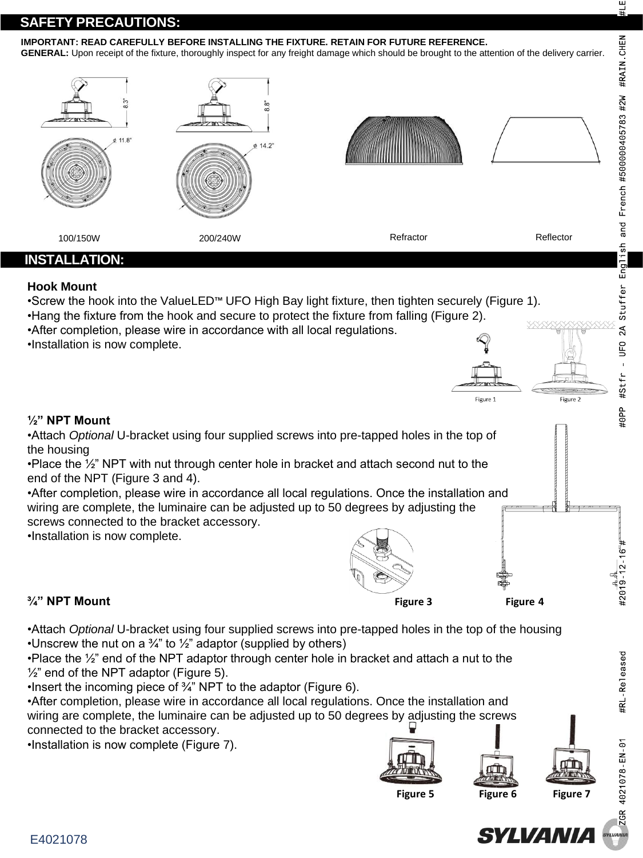### **SAFETY PRECAUTIONS:**

#### **IMPORTANT: READ CAREFULLY BEFORE INSTALLING THE FIXTURE. RETAIN FOR FUTURE REFERENCE.**

**GENERAL:** Upon receipt of the fixture, thoroughly inspect for any freight damage which should be brought to the attention of the delivery carrier.



•After completion, please wire in accordance all local regulations. Once the installation and wiring are complete, the luminaire can be adjusted up to 50 degrees by adjusting the screws connected to the bracket accessory.

•Installation is now complete.



•Attach *Optional* U-bracket using four supplied screws into pre-tapped holes in the top of the housing •Unscrew the nut on a  $\frac{3}{4}$ " to  $\frac{1}{2}$ " adaptor (supplied by others)

•Place the  $\frac{1}{2}$ " end of the NPT adaptor through center hole in bracket and attach a nut to the  $\frac{1}{2}$ " end of the NPT adaptor (Figure 5).

•Insert the incoming piece of ¾" NPT to the adaptor (Figure 6).

•After completion, please wire in accordance all local regulations. Once the installation and wiring are complete, the luminaire can be adjusted up to 50 degrees by adjusting the screws connected to the bracket accessory.

•Installation is now complete (Figure 7).











#2019 12 16  $#$ 

#RL Released

CR 4021078 EN 01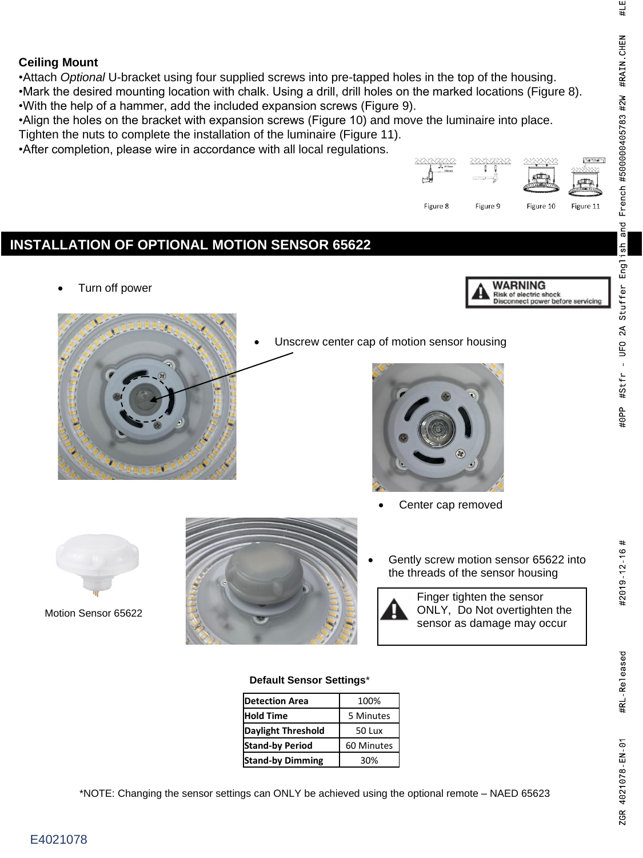### **Ceiling Mount**

•Attach *Optional* U-bracket using four supplied screws into pre-tapped holes in the top of the housing. •Mark the desired mounting location with chalk. Using a drill, drill holes on the marked locations (Figure 8). •With the help of a hammer, add the included expansion screws (Figure 9).

•Align the holes on the bracket with expansion screws (Figure 10) and move the luminaire into place. Tighten the nuts to complete the installation of the luminaire (Figure 11).

•After completion, please wire in accordance with all local regulations.



| <b>Detection Area</b>     | 100%       |
|---------------------------|------------|
| <b>Hold Time</b>          | 5 Minutes  |
| <b>Daylight Threshold</b> | 50 Lux     |
| <b>Stand-by Period</b>    | 60 Minutes |
| <b>Stand-by Dimming</b>   | 30%        |

\*NOTE: Changing the sensor settings can ONLY be achieved using the optional remote – NAED 65623

险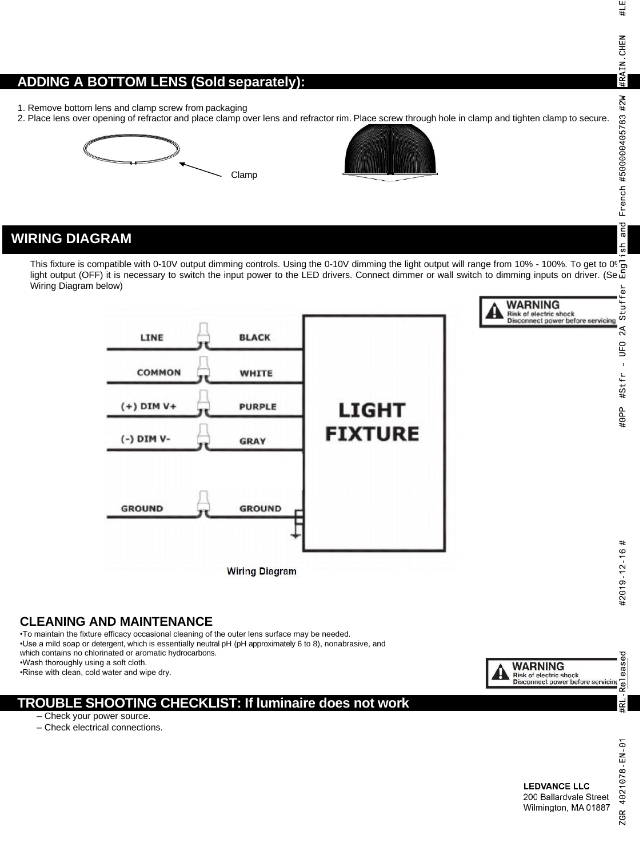#LE #RAIN CHEN French #500000405783 #2W and  $\frac{1}{3}$ Stuffer

### **ADDING A BOTTOM LENS (Sold separately):**

- 1. Remove bottom lens and clamp screw from packaging
- 2. Place lens over opening of refractor and place clamp over lens and refractor rim. Place screw through hole in clamp and tighten clamp to secure.





### **WIRING DIAGRAM**

This fixture is compatible with 0-10V output dimming controls. Using the 0-10V dimming the light output will range from 10% - 100%. To get to 0% light output (OFF) it is necessary to switch the input power to the LED drivers. Connect dimmer or wall switch to dimming inputs on driver. (Seட் Wiring Diagram below)





WARNING

### **CLEANING AND MAINTENANCE**

•To maintain the fixture efficacy occasional cleaning of the outer lens surface may be needed. •Use a mild soap or detergent, which is essentially neutral pH (pH approximately 6 to 8), nonabrasive, and which contains no chlorinated or aromatic hydrocarbons.

•Wash thoroughly using a soft cloth.

•Rinse with clean, cold water and wipe dry.

### **TROUBLE SHOOTING CHECKLIST: If luminaire does not work**

- Check your power source.
- Check electrical connections.

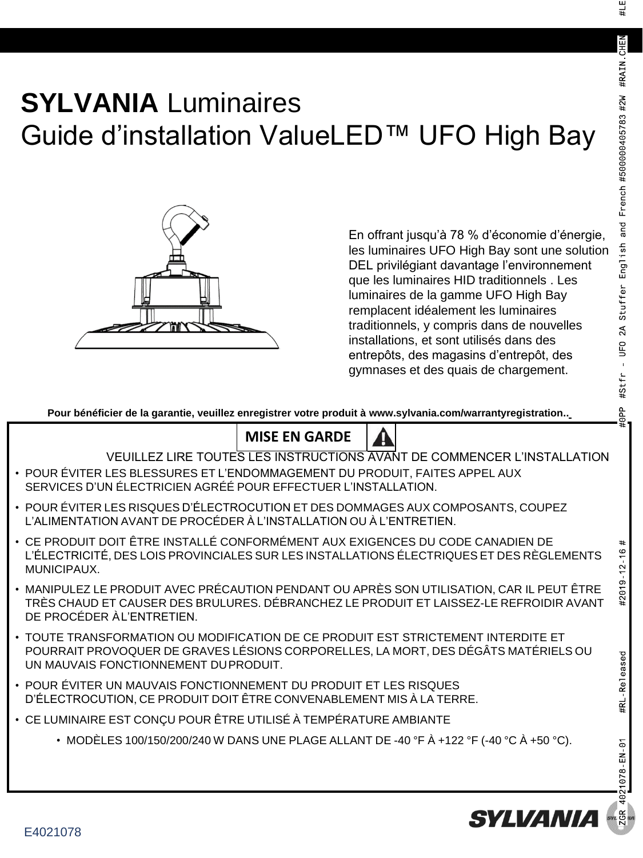#2019 12 16 #

**#RL** Released

21078 EN 01

#LE

# **SYLVANIA** Luminaires Guide d'installation ValueLED™ UFO High Bay



En offrant jusqu'à 78 % d'économie d'énergie, les luminaires UFO High Bay sont une solution DEL privilégiant davantage l'environnement que les luminaires HID traditionnels . Les luminaires de la gamme UFO High Bay remplacent idéalement les luminaires traditionnels, y compris dans de nouvelles installations, et sont utilisés dans des entrepôts, des magasins d'entrepôt, des gymnases et des quais de chargement.

Pour bénéficier de la garantie, veuillez enregistrer votre produit [à www.sylvania.com/warrantyregistration..](http://www.sylvania.com/warrantyregistration)

### **MISE EN GARDE**

VEUILLEZ LIRE TOUTES LES INSTRUCTIONS AVANT DE COMMENCER L'INSTALLATION

- POUR ÉVITER LES BLESSURES ET L'ENDOMMAGEMENT DU PRODUIT, FAITES APPEL AUX SERVICES D'UN ÉLECTRICIEN AGRÉÉ POUR EFFECTUER L'INSTALLATION.
- POUR ÉVITER LES RISQUES D'ÉLECTROCUTION ET DES DOMMAGES AUX COMPOSANTS, COUPEZ L'ALIMENTATION AVANT DE PROCÉDER À L'INSTALLATION OU À L'ENTRETIEN.
- CE PRODUIT DOIT ÊTRE INSTALLÉ CONFORMÉMENT AUX EXIGENCES DU CODE CANADIEN DE L'ÉLECTRICITÉ, DES LOIS PROVINCIALES SUR LES INSTALLATIONS ÉLECTRIQUES ET DES RÈGLEMENTS MUNICIPAUX.
- MANIPULEZ LE PRODUIT AVEC PRÉCAUTION PENDANT OU APRÈS SON UTILISATION, CAR IL PEUT ÊTRE TRÈS CHAUD ET CAUSER DES BRULURES. DÉBRANCHEZ LE PRODUIT ET LAISSEZ-LE REFROIDIR AVANT DE PROCÉDER ÀL'ENTRETIEN.
- TOUTE TRANSFORMATION OU MODIFICATION DE CE PRODUIT EST STRICTEMENT INTERDITE ET POURRAIT PROVOQUER DE GRAVES LÉSIONS CORPORELLES, LA MORT, DES DÉGÂTS MATÉRIELS OU UN MAUVAIS FONCTIONNEMENT DUPRODUIT.
- POUR ÉVITER UN MAUVAIS FONCTIONNEMENT DU PRODUIT ET LES RISQUES D'ÉLECTROCUTION, CE PRODUIT DOIT ÊTRE CONVENABLEMENT MIS À LA TERRE.
- CE LUMINAIRE EST CONÇU POUR ÊTRE UTILISÉ À TEMPÉRATURE AMBIANTE
	- MODÈLES 100/150/200/240 W DANS UNE PLAGE ALLANT DE -40 °F À +122 °F (-40 °C À +50 °C).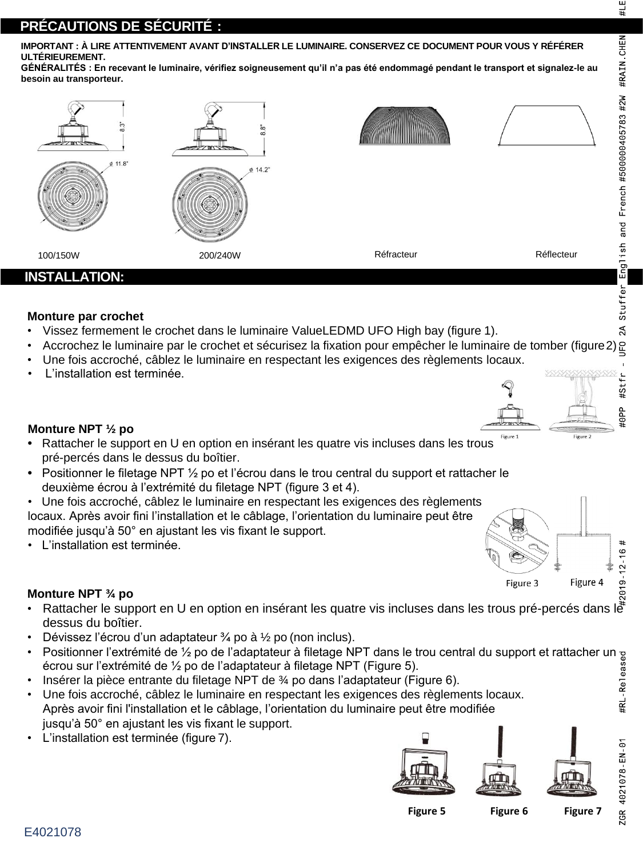$#$ 

2019 12 16

Figure 4

#LE

### **PRÉCAUTIONS DE SÉCURITÉ :**

**IMPORTANT : À LIRE ATTENTIVEMENT AVANT D'INSTALLER LE LUMINAIRE. CONSERVEZ CE DOCUMENT POUR VOUS Y RÉFÉRER ULTÉRIEUREMENT.**

**GÉNÉRALITÉS : En recevant le luminaire, vérifiez soigneusement qu'il n'a pas été endommagé pendant le transport et signalez-le au besoin au transporteur.**



### **Monture par crochet**

- Vissez fermement le crochet dans le luminaire ValueLEDMD UFO High bay (figure 1).
- Accrochez le luminaire par le crochet et sécurisez la fixation pour empêcher le luminaire de tomber (figure2).
- Une fois accroché, câblez le luminaire en respectant les exigences des règlements locaux.
- L'installation est terminée.



### **Monture NPT ½ po**

- **•** Rattacher le support en U en option en insérant les quatre vis incluses dans les trous pré-percés dans le dessus du boîtier.
- **•** Positionner le filetage NPT ½ po et l'écrou dans le trou central du support et rattacher le deuxième écrou à l'extrémité du filetage NPT (figure 3 et 4).
- Une fois accroché, câblez le luminaire en respectant les exigences des règlements locaux. Après avoir fini l'installation et le câblage, l'orientation du luminaire peut être modifiée jusqu'à 50° en ajustant les vis fixant le support.
- L'installation est terminée.

### **Monture NPT ¾ po**

- Rattacher le support en U en option en insérant les quatre vis incluses dans les trous pré-percés dans le <sup>r</sup> dessus du boîtier.
- Dévissez l'écrou d'un adaptateur  $\frac{3}{4}$  po à  $\frac{1}{2}$  po (non inclus).
- Positionner l'extrémité de ½ po de l'adaptateur à filetage NPT dans le trou central du support et rattacher un écrou sur l'extrémité de ½ po de l'adaptateur à filetage NPT (Figure 5).
- Insérer la pièce entrante du filetage NPT de  $\frac{3}{4}$  po dans l'adaptateur (Figure 6).
- Une fois accroché, câblez le luminaire en respectant les exigences des règlements locaux. Après avoir fini l'installation et le câblage, l'orientation du luminaire peut être modifiée jusqu'à 50° en ajustant les vis fixant le support.
- L'installation est terminée (figure 7).



**Figure 5 Figure 6 Figure 7**

Figure 3

ZGR 4021078 EN 01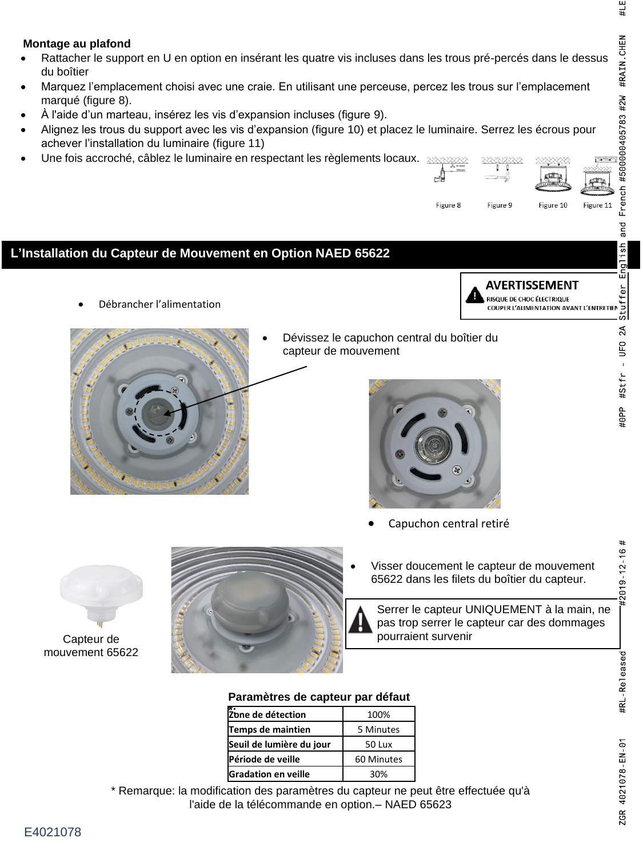#RL-Released

ZGR 4021078 EN 01

Figure

### **Montage au plafond**

- Rattacher le support en U en option en insérant les quatre vis incluses dans les trous pré-percés dans le dessus du boîtier
- Marquez l'emplacement choisi avec une craie. En utilisant une perceuse, percez les trous sur l'emplacement marqué (figure 8).
- À l'aide d'un marteau, insérez les vis d'expansion incluses (figure 9).
- Alignez les trous du support avec les vis d'expansion (figure 10) et placez le luminaire. Serrez les écrous pour achever l'installation du luminaire (figure 11)
- Une fois accroché, câblez le luminaire en respectant les règlements locaux.  $\gg$



Figure 10

Figure 9

Figure 8



Capteur de mouvement 65622



Serrer le capteur UNIQUEMENT à la main, ne pas trop serrer le capteur car des dommages pourraient survenir

#### **Paramètres de capteur par défaut**

| *:<br>Zone de détection    | 100%       |
|----------------------------|------------|
| Temps de maintien          | 5 Minutes  |
| Seuil de lumière du jour   | 50 Lux     |
| Période de veille          | 60 Minutes |
| <b>Gradation en veille</b> | 30%        |

\* Remarque: la modification des paramètres du capteur ne peut être effectuée qu'à l'aide de la télécommande en option.– NAED 65623